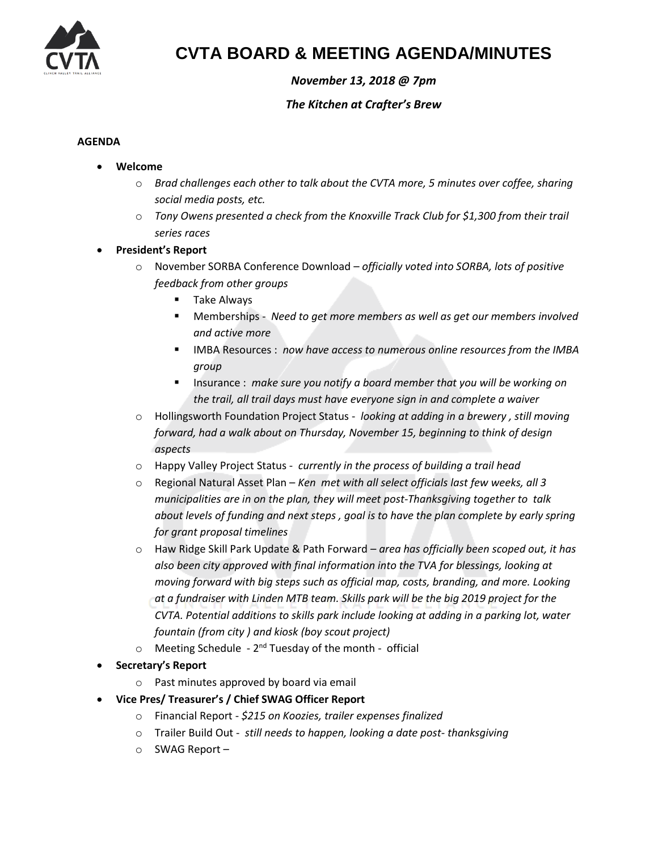

## **CVTA BOARD & MEETING AGENDA/MINUTES**

## *November 13, 2018 @ 7pm*

### *The Kitchen at Crafter's Brew*

#### **AGENDA**

- **Welcome** 
	- o *Brad challenges each other to talk about the CVTA more, 5 minutes over coffee, sharing social media posts, etc.*
	- o *Tony Owens presented a check from the Knoxville Track Club for \$1,300 from their trail series races*
- **President's Report**
	- o November SORBA Conference Download *officially voted into SORBA, lots of positive feedback from other groups*
		- Take Always
		- Memberships *Need to get more members as well as get our members involved and active more*
		- IMBA Resources : *now have access to numerous online resources from the IMBA group*
		- Insurance : *make sure you notify a board member that you will be working on the trail, all trail days must have everyone sign in and complete a waiver*
	- o Hollingsworth Foundation Project Status *looking at adding in a brewery , still moving forward, had a walk about on Thursday, November 15, beginning to think of design aspects*
	- o Happy Valley Project Status *currently in the process of building a trail head*
	- o Regional Natural Asset Plan *Ken met with all select officials last few weeks, all 3 municipalities are in on the plan, they will meet post-Thanksgiving together to talk about levels of funding and next steps , goal is to have the plan complete by early spring for grant proposal timelines*
	- o Haw Ridge Skill Park Update & Path Forward *area has officially been scoped out, it has also been city approved with final information into the TVA for blessings, looking at moving forward with big steps such as official map, costs, branding, and more. Looking at a fundraiser with Linden MTB team. Skills park will be the big 2019 project for the CVTA. Potential additions to skills park include looking at adding in a parking lot, water fountain (from city ) and kiosk (boy scout project)*
	- o Meeting Schedule 2<sup>nd</sup> Tuesday of the month official
- **Secretary's Report** 
	- o Past minutes approved by board via email
- **Vice Pres/ Treasurer's / Chief SWAG Officer Report** 
	- o Financial Report *\$215 on Koozies, trailer expenses finalized*
	- o Trailer Build Out *still needs to happen, looking a date post- thanksgiving*
	- o SWAG Report –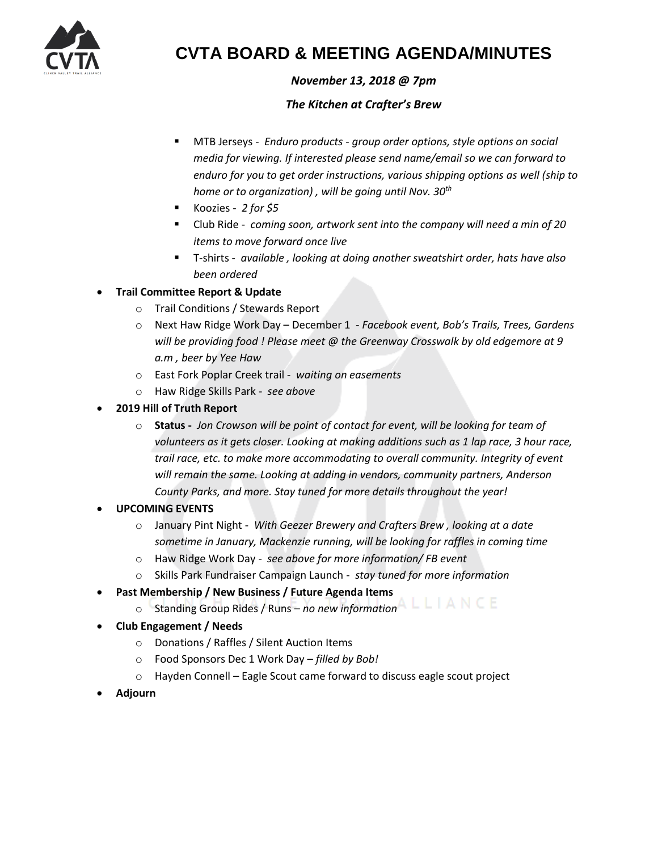

## **CVTA BOARD & MEETING AGENDA/MINUTES**

## *November 13, 2018 @ 7pm*

### *The Kitchen at Crafter's Brew*

- MTB Jerseys *Enduro products - group order options, style options on social media for viewing. If interested please send name/email so we can forward to enduro for you to get order instructions, various shipping options as well (ship to home or to organization) , will be going until Nov. 30th*
- Koozies *2 for \$5*
- Club Ride *coming soon, artwork sent into the company will need a min of 20 items to move forward once live*
- T-shirts *available , looking at doing another sweatshirt order, hats have also been ordered*

### • **Trail Committee Report & Update**

- o Trail Conditions / Stewards Report
- o Next Haw Ridge Work Day December 1 *- Facebook event, Bob's Trails, Trees, Gardens will be providing food ! Please meet @ the Greenway Crosswalk by old edgemore at 9 a.m , beer by Yee Haw*
- o East Fork Poplar Creek trail *waiting on easements*
- o Haw Ridge Skills Park *see above*
- **2019 Hill of Truth Report** 
	- o **Status -** *Jon Crowson will be point of contact for event, will be looking for team of*  volunteers as it gets closer. Looking at making additions such as 1 lap race, 3 hour race, *trail race, etc. to make more accommodating to overall community. Integrity of event*  will remain the same. Looking at adding in vendors, community partners, Anderson *County Parks, and more. Stay tuned for more details throughout the year!*
- **UPCOMING EVENTS** 
	- o January Pint Night *With Geezer Brewery and Crafters Brew , looking at a date sometime in January, Mackenzie running, will be looking for raffles in coming time*
	- o Haw Ridge Work Day *see above for more information/ FB event*
	- o Skills Park Fundraiser Campaign Launch *stay tuned for more information*
- **Past Membership / New Business / Future Agenda Items** 
	- o Standing Group Rides / Runs *no new information*
- **Club Engagement / Needs** 
	- o Donations / Raffles / Silent Auction Items
	- o Food Sponsors Dec 1 Work Day *filled by Bob!*
	- o Hayden Connell Eagle Scout came forward to discuss eagle scout project
- **Adjourn**